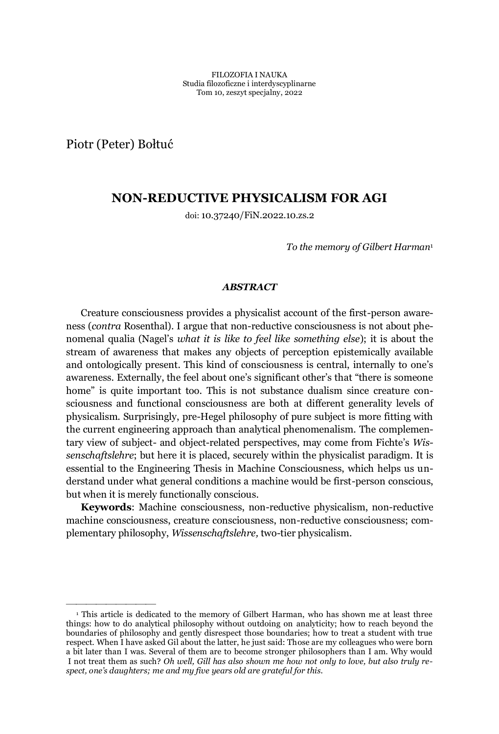Piotr (Peter) Bołtuć

²²²²²²²²²

# **NON-REDUCTIVE PHYSICALISM FOR AGI**

doi: 10.37240/FiN.2022.10.zs.2

*To the memory of Gilbert Harman*<sup>1</sup>

#### *ABSTRACT*

Creature consciousness provides a physicalist account of the first-person awareness (*contra* Rosenthal). I argue that non-reductive consciousness is not about phenomenal qualia (Nagel's *what it is like to feel like something else*); it is about the stream of awareness that makes any objects of perception epistemically available and ontologically present. This kind of consciousness is central, internally to one's awareness. Externally, the feel about one's significant other's that "there is someone home" is quite important too. This is not substance dualism since creature consciousness and functional consciousness are both at different generality levels of physicalism. Surprisingly, pre-Hegel philosophy of pure subject is more fitting with the current engineering approach than analytical phenomenalism. The complementary view of subject- and object-related perspectives, may come from Fichte's Wis*senschaftslehre*; but here it is placed, securely within the physicalist paradigm. It is essential to the Engineering Thesis in Machine Consciousness, which helps us understand under what general conditions a machine would be first-person conscious, but when it is merely functionally conscious.

**Keywords**: Machine consciousness, non-reductive physicalism, non-reductive machine consciousness, creature consciousness, non-reductive consciousness; complementary philosophy, *Wissenschaftslehre,* two-tier physicalism.

<sup>&</sup>lt;sup>1</sup> This article is dedicated to the memory of Gilbert Harman, who has shown me at least three things: how to do analytical philosophy without outdoing on analyticity; how to reach beyond the boundaries of philosophy and gently disrespect those boundaries; how to treat a student with true respect. When I have asked Gil about the latter, he just said: Those are my colleagues who were born a bit later than I was. Several of them are to become stronger philosophers than I am. Why would I not treat them as such? *Oh well, Gill has also shown me how not only to love, but also truly respect, one's daughters; me and my five years old are grateful for this.*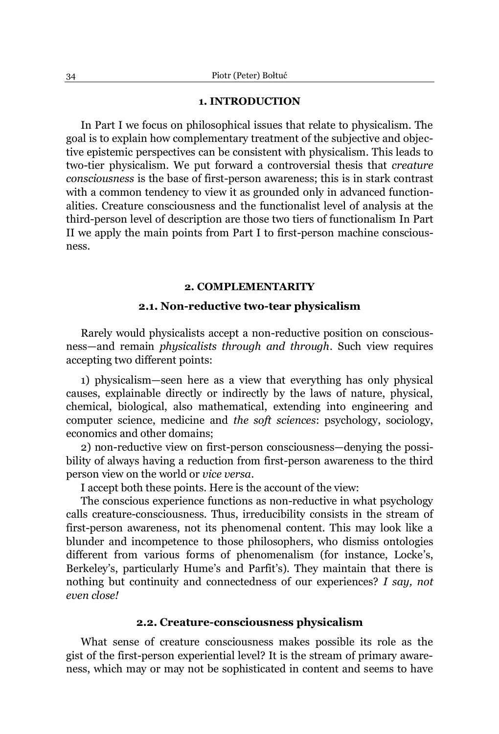### **1. INTRODUCTION**

In Part I we focus on philosophical issues that relate to physicalism. The goal is to explain how complementary treatment of the subjective and objective epistemic perspectives can be consistent with physicalism. This leads to two-tier physicalism. We put forward a controversial thesis that *creature consciousness* is the base of first-person awareness; this is in stark contrast with a common tendency to view it as grounded only in advanced functionalities. Creature consciousness and the functionalist level of analysis at the third-person level of description are those two tiers of functionalism In Part II we apply the main points from Part I to first-person machine consciousness.

### **2. COMPLEMENTARITY**

# **2.1. Non-reductive two-tear physicalism**

Rarely would physicalists accept a non-reductive position on consciousness—and remain *physicalists through and through*. Such view requires accepting two different points:

1) physicalism—seen here as a view that everything has only physical causes, explainable directly or indirectly by the laws of nature, physical, chemical, biological, also mathematical, extending into engineering and computer science, medicine and *the soft sciences*: psychology, sociology, economics and other domains;

2) non-reductive view on first-person consciousness-denying the possibility of always having a reduction from first-person awareness to the third person view on the world or *vice versa*.

I accept both these points. Here is the account of the view:

The conscious experience functions as non-reductive in what psychology calls creature-consciousness. Thus, irreducibility consists in the stream of first-person awareness, not its phenomenal content. This may look like a blunder and incompetence to those philosophers, who dismiss ontologies different from various forms of phenomenalism (for instance, Locke's, Berkeley's, particularly Hume's and Parfit's). They maintain that there is nothing but continuity and connectedness of our experiences? *I say, not even close!*

### **2.2. Creature-consciousness physicalism**

What sense of creature consciousness makes possible its role as the gist of the first-person experiential level? It is the stream of primary awareness, which may or may not be sophisticated in content and seems to have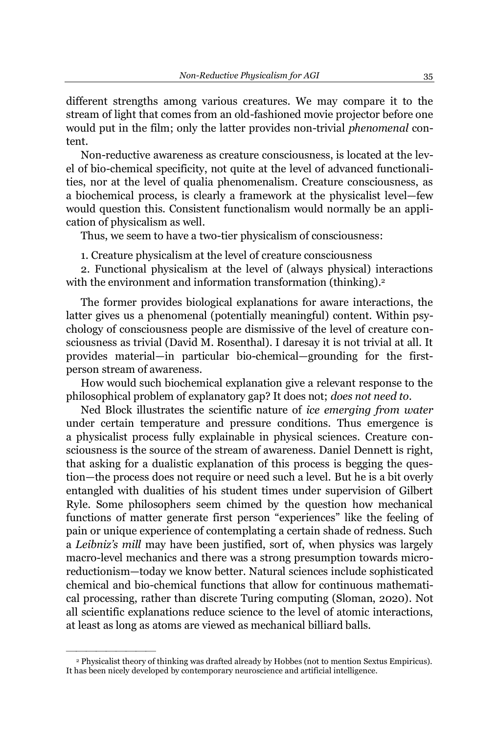different strengths among various creatures. We may compare it to the stream of light that comes from an old-fashioned movie projector before one would put in the film; only the latter provides non-trivial *phenomenal* content.

Non-reductive awareness as creature consciousness, is located at the level of bio-chemical specificity, not quite at the level of advanced functionalities, nor at the level of qualia phenomenalism. Creature consciousness, as a biochemical process, is clearly a framework at the physicalist level-few would question this. Consistent functionalism would normally be an application of physicalism as well.

Thus, we seem to have a two-tier physicalism of consciousness:

1. Creature physicalism at the level of creature consciousness

2. Functional physicalism at the level of (always physical) interactions with the environment and information transformation (thinking).<sup>2</sup>

The former provides biological explanations for aware interactions, the latter gives us a phenomenal (potentially meaningful) content. Within psychology of consciousness people are dismissive of the level of creature consciousness as trivial (David M. Rosenthal). I daresay it is not trivial at all. It provides material—in particular bio-chemical—grounding for the firstperson stream of awareness.

How would such biochemical explanation give a relevant response to the philosophical problem of explanatory gap? It does not; *does not need to*.

Ned Block illustrates the scientific nature of *ice emerging from water*  under certain temperature and pressure conditions. Thus emergence is a physicalist process fully explainable in physical sciences. Creature consciousness is the source of the stream of awareness. Daniel Dennett is right, that asking for a dualistic explanation of this process is begging the question—the process does not require or need such a level. But he is a bit overly entangled with dualities of his student times under supervision of Gilbert Ryle. Some philosophers seem chimed by the question how mechanical functions of matter generate first person "experiences" like the feeling of pain or unique experience of contemplating a certain shade of redness. Such a *Leibniz's mill* may have been justified, sort of, when physics was largely macro-level mechanics and there was a strong presumption towards microreductionism—today we know better. Natural sciences include sophisticated chemical and bio-chemical functions that allow for continuous mathematical processing, rather than discrete Turing computing (Sloman, 2020). Not all scientific explanations reduce science to the level of atomic interactions, at least as long as atoms are viewed as mechanical billiard balls.

<sup>2</sup> Physicalist theory of thinking was drafted already by Hobbes (not to mention Sextus Empiricus). It has been nicely developed by contemporary neuroscience and artificial intelligence.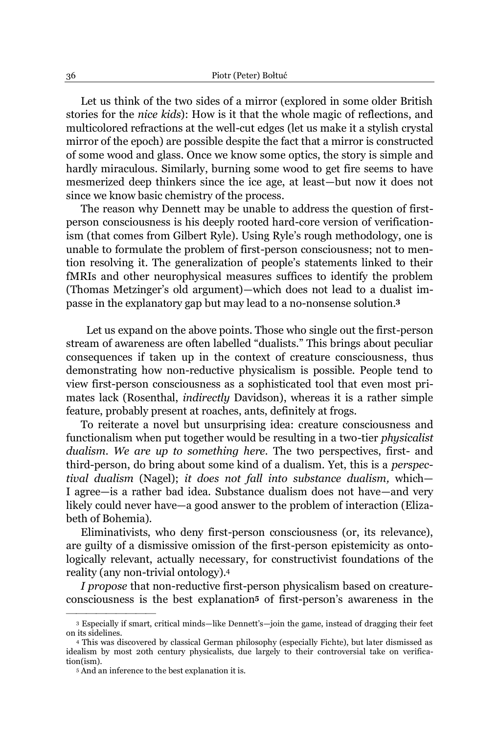Let us think of the two sides of a mirror (explored in some older British stories for the *nice kids*): How is it that the whole magic of reflections, and multicolored refractions at the well-cut edges (let us make it a stylish crystal mirror of the epoch) are possible despite the fact that a mirror is constructed of some wood and glass. Once we know some optics, the story is simple and hardly miraculous. Similarly, burning some wood to get fire seems to have mesmerized deep thinkers since the ice age, at least—but now it does not since we know basic chemistry of the process.

The reason why Dennett may be unable to address the question of firstperson consciousness is his deeply rooted hard-core version of verificationism (that comes from Gilbert Ryle). Using Ryle's rough methodology, one is unable to formulate the problem of first-person consciousness; not to mention resolving it. The generalization of people's statements linked to their fMRIs and other neurophysical measures suffices to identify the problem (Thomas Metzinger's old argument)—which does not lead to a dualist impasse in the explanatory gap but may lead to a no-nonsense solution.**<sup>3</sup>**

 Let us expand on the above points. Those who single out the first-person stream of awareness are often labelled "dualists." This brings about peculiar consequences if taken up in the context of creature consciousness, thus demonstrating how non-reductive physicalism is possible. People tend to view first-person consciousness as a sophisticated tool that even most primates lack (Rosenthal, *indirectly* Davidson), whereas it is a rather simple feature, probably present at roaches, ants, definitely at frogs.

To reiterate a novel but unsurprising idea: creature consciousness and functionalism when put together would be resulting in a two-tier *physicalist dualism. We are up to something here.* The two perspectives, first- and third-person, do bring about some kind of a dualism. Yet, this is a *perspectival dualism* (Nagel); *it does not fall into substance dualism*, which-I agree-is a rather bad idea. Substance dualism does not have-and very likely could never have—a good answer to the problem of interaction (Elizabeth of Bohemia).

Eliminativists, who deny first-person consciousness (or, its relevance), are guilty of a dismissive omission of the first-person epistemicity as ontologically relevant, actually necessary, for constructivist foundations of the reality (any non-trivial ontology).4

*I propose* that non-reductive first-person physicalism based on creatureconsciousness is the best explanation<sup>5</sup> of first-person's awareness in the

<sup>3</sup> Especially if smart, critical minds—like Dennett's—join the game, instead of dragging their feet on its sidelines.

<sup>4</sup> This was discovered by classical German philosophy (especially Fichte), but later dismissed as idealism by most 20th century physicalists, due largely to their controversial take on verification(ism).

<sup>5</sup> And an inference to the best explanation it is.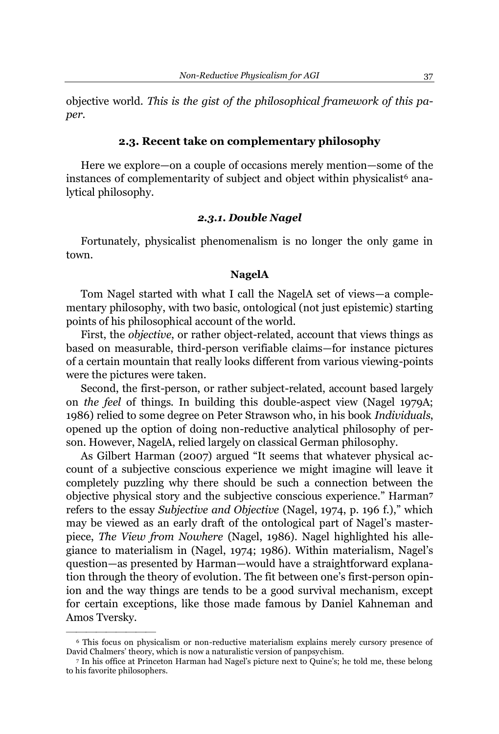objective world. *This is the gist of the philosophical framework of this paper.*

### **2.3. Recent take on complementary philosophy**

Here we explore—on a couple of occasions merely mention—some of the instances of complementarity of subject and object within physicalist<sup>6</sup> analytical philosophy.

### *2.3.1. Double Nagel*

Fortunately, physicalist phenomenalism is no longer the only game in town.

#### **NagelA**

Tom Nagel started with what I call the NagelA set of views-a complementary philosophy, with two basic, ontological (not just epistemic) starting points of his philosophical account of the world.

First, the *objective*, or rather object-related, account that views things as based on measurable, third-person verifiable claims-for instance pictures of a certain mountain that really looks different from various viewing-points were the pictures were taken.

Second, the first-person, or rather subject-related, account based largely on *the feel* of things. In building this double-aspect view (Nagel 1979A; 1986) relied to some degree on Peter Strawson who, in his book *Individuals*, opened up the option of doing non-reductive analytical philosophy of person. However, NagelA, relied largely on classical German philosophy.

As Gilbert Harman (2007) argued "It seems that whatever physical account of a subjective conscious experience we might imagine will leave it completely puzzling why there should be such a connection between the objective physical story and the subjective conscious experience." Harman<sup>7</sup> refers to the essay *Subjective and Objective* (Nagel, 1974, p. 196 f.)," which may be viewed as an early draft of the ontological part of Nagel's masterpiece, *The View from Nowhere* (Nagel, 1986)*.* Nagel highlighted his allegiance to materialism in (Nagel, 1974; 1986). Within materialism, Nagel's question—as presented by Harman—would have a straightforward explanation through the theory of evolution. The fit between one's first-person opinion and the way things are tends to be a good survival mechanism, except for certain exceptions, like those made famous by Daniel Kahneman and Amos Tversky.

<sup>6</sup> This focus on physicalism or non-reductive materialism explains merely cursory presence of David Chalmers' theory, which is now a naturalistic version of panpsychism.

<sup>7</sup> In his office at Princeton Harman had Nagel's picture next to Quine's; he told me, these belong to his favorite philosophers.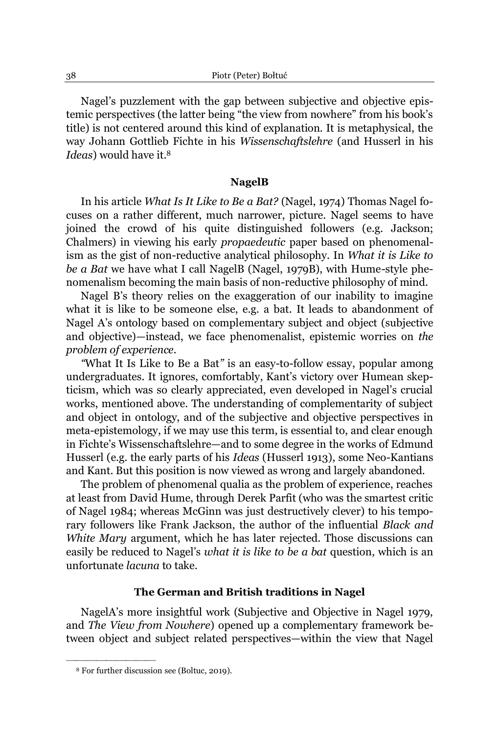Nagel's puzzlement with the gap between subjective and objective epistemic perspectives (the latter being "the view from nowhere" from his book's title) is not centered around this kind of explanation. It is metaphysical, the way Johann Gottlieb Fichte in his *Wissenschaftslehre* (and Husserl in his *Ideas*) would have it.8

#### **NagelB**

In his article *What Is It Like to Be a Bat?* (Nagel, 1974) Thomas Nagel focuses on a rather different, much narrower, picture. Nagel seems to have joined the crowd of his quite distinguished followers (e.g. Jackson; Chalmers) in viewing his early *propaedeutic* paper based on phenomenalism as the gist of non-reductive analytical philosophy. In *What it is Like to be a Bat* we have what I call NagelB (Nagel, 1979B), with Hume-style phenomenalism becoming the main basis of non-reductive philosophy of mind.

Nagel B's theory relies on the exaggeration of our inability to imagine what it is like to be someone else, e.g. a bat. It leads to abandonment of Nagel A's ontology based on complementary subject and object (subjective and objective)—instead, we face phenomenalist, epistemic worries on *the problem of experience.* 

*³*What It Is Like to Be a Bat*´*is an easy-to-follow essay, popular among undergraduates. It ignores, comfortably, Kant's victory over Humean skepticism, which was so clearly appreciated, even developed in Nagel's crucial works, mentioned above. The understanding of complementarity of subject and object in ontology, and of the subjective and objective perspectives in meta-epistemology, if we may use this term, is essential to, and clear enough in Fichte's Wissenschaftslehre—and to some degree in the works of Edmund Husserl (e.g. the early parts of his *Ideas* (Husserl 1913), some Neo-Kantians and Kant. But this position is now viewed as wrong and largely abandoned.

The problem of phenomenal qualia as the problem of experience, reaches at least from David Hume, through Derek Parfit (who was the smartest critic of Nagel 1984; whereas McGinn was just destructively clever) to his temporary followers like Frank Jackson, the author of the influential *Black and White Mary* argument, which he has later rejected. Those discussions can easily be reduced to Nagel's *what it is like to be a bat* question, which is an unfortunate *lacuna* to take.

#### **The German and British traditions in Nagel**

NagelA's more insightful work (Subjective and Objective in Nagel 1979, and *The View from Nowhere*) opened up a complementary framework between object and subject related perspectives—within the view that Nagel

<sup>8</sup> For further discussion see (Boltuc, 2019).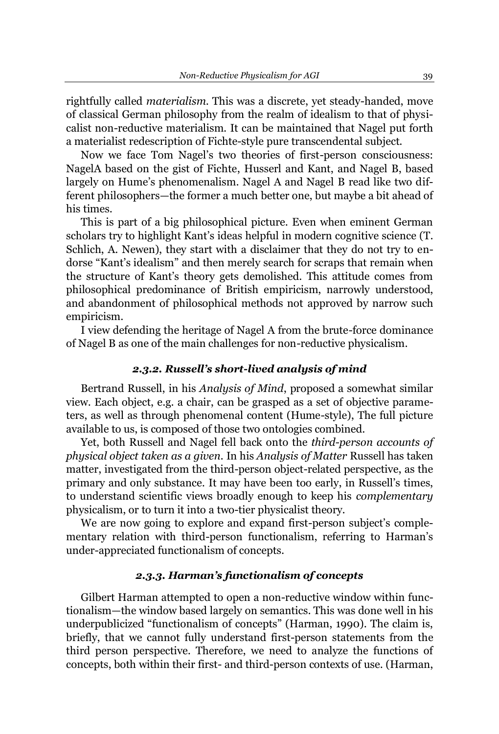rightfully called *materialism*. This was a discrete, yet steady-handed, move of classical German philosophy from the realm of idealism to that of physicalist non-reductive materialism. It can be maintained that Nagel put forth a materialist redescription of Fichte-style pure transcendental subject.

Now we face Tom Nagel's two theories of first-person consciousness: NagelA based on the gist of Fichte, Husserl and Kant, and Nagel B, based largely on Hume's phenomenalism. Nagel A and Nagel B read like two different philosophers—the former a much better one, but maybe a bit ahead of his times.

This is part of a big philosophical picture. Even when eminent German scholars try to highlight Kant's ideas helpful in modern cognitive science (T. Schlich, A. Newen), they start with a disclaimer that they do not try to endorse "Kant's idealism" and then merely search for scraps that remain when the structure of Kant's theory gets demolished. This attitude comes from philosophical predominance of British empiricism, narrowly understood, and abandonment of philosophical methods not approved by narrow such empiricism.

I view defending the heritage of Nagel A from the brute-force dominance of Nagel B as one of the main challenges for non-reductive physicalism.

#### *2.3.2. Russell's short-lived analysis of mind*

Bertrand Russell, in his *Analysis of Mind*, proposed a somewhat similar view. Each object, e.g. a chair, can be grasped as a set of objective parameters, as well as through phenomenal content (Hume-style), The full picture available to us, is composed of those two ontologies combined.

Yet, both Russell and Nagel fell back onto the *third-person accounts of physical object taken as a given.* In his *Analysis of Matter* Russell has taken matter, investigated from the third-person object-related perspective, as the primary and only substance. It may have been too early, in Russell's times, to understand scientific views broadly enough to keep his *complementary*  physicalism, or to turn it into a two-tier physicalist theory.

We are now going to explore and expand first-person subject's complementary relation with third-person functionalism, referring to Harman's under-appreciated functionalism of concepts.

#### **2.3.3. Harman's functionalism of concepts**

Gilbert Harman attempted to open a non-reductive window within functionalism—the window based largely on semantics. This was done well in his underpublicized "functionalism of concepts" (Harman, 1990). The claim is, briefly, that we cannot fully understand first-person statements from the third person perspective. Therefore, we need to analyze the functions of concepts, both within their first- and third-person contexts of use. (Harman,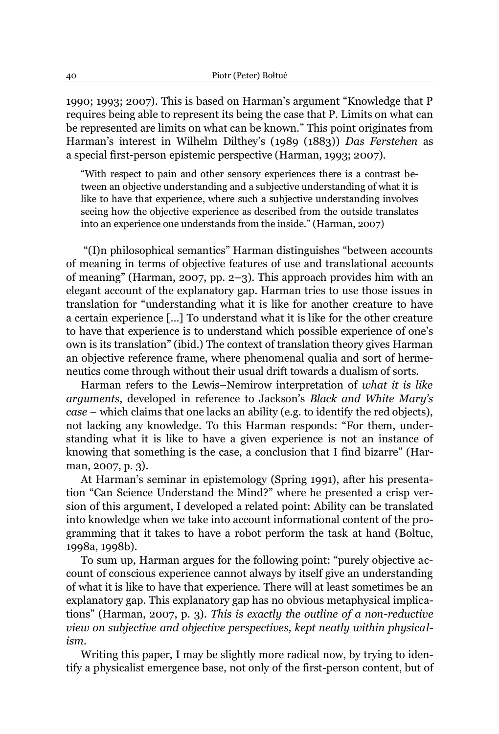1990; 1993; 2007). This is based on Harman's argument "Knowledge that P requires being able to represent its being the case that P. Limits on what can be represented are limits on what can be known." This point originates from Harman's interest in Wilhelm Dilthey's (1989 (1883)) *Das Ferstehen* as a special first-person epistemic perspective (Harman, 1993; 2007).

"With respect to pain and other sensory experiences there is a contrast between an objective understanding and a subjective understanding of what it is like to have that experience, where such a subjective understanding involves seeing how the objective experience as described from the outside translates into an experience one understands from the inside." (Harman, 2007)

"(I)n philosophical semantics" Harman distinguishes "between accounts of meaning in terms of objective features of use and translational accounts of meaning" (Harman, 2007, pp. 2–3). This approach provides him with an elegant account of the explanatory gap. Harman tries to use those issues in translation for "understanding what it is like for another creature to have a certain experience  $\left[\ldots\right]$  To understand what it is like for the other creature to have that experience is to understand which possible experience of one's own is its translation" (ibid.) The context of translation theory gives Harman an objective reference frame, where phenomenal qualia and sort of hermeneutics come through without their usual drift towards a dualism of sorts.

Harman refers to the Lewis-Nemirow interpretation of *what it is like arguments*, developed in reference to Jackson's Black and White Mary's *case* – which claims that one lacks an ability (e.g. to identify the red objects), not lacking any knowledge. To this Harman responds: "For them, understanding what it is like to have a given experience is not an instance of knowing that something is the case, a conclusion that I find bizarre" (Harman, 2007, p. 3).

At Harman's seminar in epistemology (Spring 1991), after his presentation "Can Science Understand the Mind?" where he presented a crisp version of this argument, I developed a related point: Ability can be translated into knowledge when we take into account informational content of the programming that it takes to have a robot perform the task at hand (Boltuc, 1998a, 1998b).

To sum up, Harman argues for the following point: "purely objective account of conscious experience cannot always by itself give an understanding of what it is like to have that experience. There will at least sometimes be an explanatory gap. This explanatory gap has no obvious metaphysical implications" (Harman, 2007, p. 3). This is exactly the outline of a non-reductive *view on subjective and objective perspectives, kept neatly within physicalism.* 

Writing this paper, I may be slightly more radical now, by trying to identify a physicalist emergence base, not only of the first-person content, but of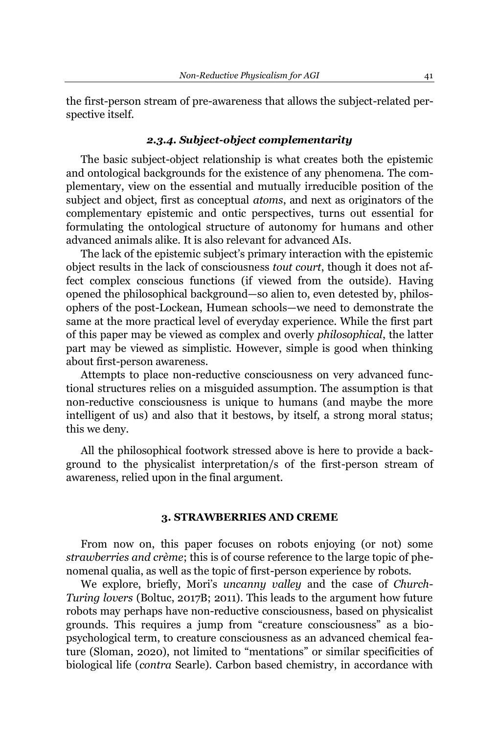the first-person stream of pre-awareness that allows the subject-related perspective itself.

### *2.3.4. Subject-object complementarity*

The basic subject-object relationship is what creates both the epistemic and ontological backgrounds for the existence of any phenomena. The complementary, view on the essential and mutually irreducible position of the subject and object, first as conceptual *atoms*, and next as originators of the complementary epistemic and ontic perspectives, turns out essential for formulating the ontological structure of autonomy for humans and other advanced animals alike. It is also relevant for advanced AIs.

The lack of the epistemic subject's primary interaction with the epistemic object results in the lack of consciousness *tout court*, though it does not affect complex conscious functions (if viewed from the outside). Having opened the philosophical background—so alien to, even detested by, philosophers of the post-Lockean, Humean schools—we need to demonstrate the same at the more practical level of everyday experience. While the first part of this paper may be viewed as complex and overly *philosophical*, the latter part may be viewed as simplistic. However, simple is good when thinking about first-person awareness.

Attempts to place non-reductive consciousness on very advanced functional structures relies on a misguided assumption. The assumption is that non-reductive consciousness is unique to humans (and maybe the more intelligent of us) and also that it bestows, by itself, a strong moral status; this we deny.

All the philosophical footwork stressed above is here to provide a background to the physicalist interpretation/s of the first-person stream of awareness, relied upon in the final argument.

### **3. STRAWBERRIES AND CREME**

From now on, this paper focuses on robots enjoying (or not) some *strawberries and crème*; this is of course reference to the large topic of phenomenal qualia, as well as the topic of first-person experience by robots.

We explore, briefly, Mori's *uncanny valley* and the case of *Church-Turing lovers* (Boltuc, 2017B; 2011). This leads to the argument how future robots may perhaps have non-reductive consciousness, based on physicalist grounds. This requires a jump from "creature consciousness" as a biopsychological term, to creature consciousness as an advanced chemical feature (Sloman, 2020), not limited to "mentations" or similar specificities of biological life (*contra* Searle). Carbon based chemistry, in accordance with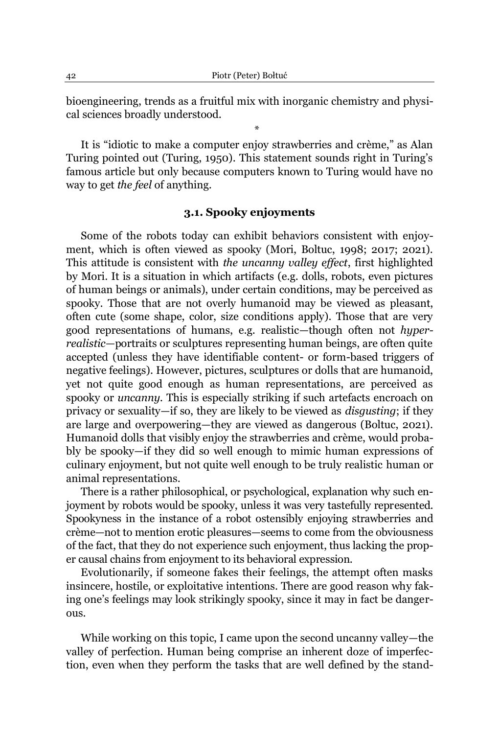bioengineering, trends as a fruitful mix with inorganic chemistry and physical sciences broadly understood.

\*

It is "idiotic to make a computer enjoy strawberries and crème," as Alan Turing pointed out (Turing, 1950). This statement sounds right in Turing's famous article but only because computers known to Turing would have no way to get *the feel* of anything.

# **3.1. Spooky enjoyments**

Some of the robots today can exhibit behaviors consistent with enjoyment, which is often viewed as spooky (Mori, Boltuc, 1998; 2017; 2021). This attitude is consistent with *the uncanny valley effect*, first highlighted by Mori. It is a situation in which artifacts (e.g. dolls, robots, even pictures of human beings or animals), under certain conditions, may be perceived as spooky. Those that are not overly humanoid may be viewed as pleasant, often cute (some shape, color, size conditions apply). Those that are very good representations of humans, e.g. realistic—though often not *hyperrealistic*—portraits or sculptures representing human beings, are often quite accepted (unless they have identifiable content- or form-based triggers of negative feelings). However, pictures, sculptures or dolls that are humanoid, yet not quite good enough as human representations, are perceived as spooky or *uncanny.* This is especially striking if such artefacts encroach on privacy or sexuality-if so, they are likely to be viewed as *disgusting*; if they are large and overpowering—they are viewed as dangerous (Boltuc, 2021). Humanoid dolls that visibly enjoy the strawberries and crème, would probably be spooky-if they did so well enough to mimic human expressions of culinary enjoyment, but not quite well enough to be truly realistic human or animal representations.

There is a rather philosophical, or psychological, explanation why such enjoyment by robots would be spooky, unless it was very tastefully represented. Spookyness in the instance of a robot ostensibly enjoying strawberries and crème—not to mention erotic pleasures—seems to come from the obviousness of the fact, that they do not experience such enjoyment, thus lacking the proper causal chains from enjoyment to its behavioral expression.

Evolutionarily, if someone fakes their feelings, the attempt often masks insincere, hostile, or exploitative intentions. There are good reason why faking one's feelings may look strikingly spooky, since it may in fact be dangerous.

While working on this topic, I came upon the second uncanny valley—the valley of perfection. Human being comprise an inherent doze of imperfection, even when they perform the tasks that are well defined by the stand-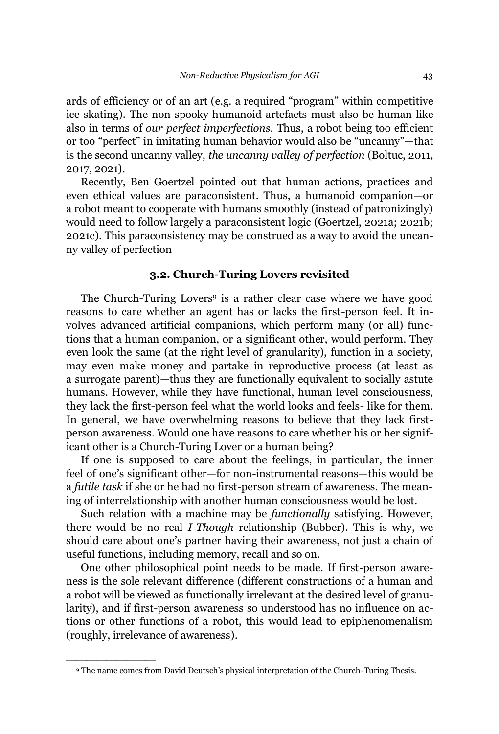ards of efficiency or of an art (e.g. a required "program" within competitive ice-skating). The non-spooky humanoid artefacts must also be human-like also in terms of *our perfect imperfections.* Thus, a robot being too efficient or too "perfect" in imitating human behavior would also be "uncanny"—that is the second uncanny valley, *the uncanny valley of perfection* (Boltuc, 2011, 2017, 2021).

Recently, Ben Goertzel pointed out that human actions, practices and even ethical values are paraconsistent. Thus, a humanoid companion-or a robot meant to cooperate with humans smoothly (instead of patronizingly) would need to follow largely a paraconsistent logic (Goertzel, 2021a; 2021b; 2021c). This paraconsistency may be construed as a way to avoid the uncanny valley of perfection

# **3.2. Church-Turing Lovers revisited**

The Church-Turing Lovers<sup>9</sup> is a rather clear case where we have good reasons to care whether an agent has or lacks the first-person feel. It involves advanced artificial companions, which perform many (or all) functions that a human companion, or a significant other, would perform. They even look the same (at the right level of granularity), function in a society, may even make money and partake in reproductive process (at least as a surrogate parent)—thus they are functionally equivalent to socially astute humans. However, while they have functional, human level consciousness, they lack the first-person feel what the world looks and feels- like for them. In general, we have overwhelming reasons to believe that they lack firstperson awareness. Would one have reasons to care whether his or her significant other is a Church-Turing Lover or a human being?

If one is supposed to care about the feelings, in particular, the inner feel of one's significant other—for non-instrumental reasons—this would be a *futile task* if she or he had no first-person stream of awareness. The meaning of interrelationship with another human consciousness would be lost.

Such relation with a machine may be *functionally* satisfying. However, there would be no real *I-Though* relationship (Bubber). This is why, we should care about one's partner having their awareness, not just a chain of useful functions, including memory, recall and so on.

One other philosophical point needs to be made. If first-person awareness is the sole relevant difference (different constructions of a human and a robot will be viewed as functionally irrelevant at the desired level of granularity), and if first-person awareness so understood has no influence on actions or other functions of a robot, this would lead to epiphenomenalism (roughly, irrelevance of awareness).

<sup>9</sup> The name comes from David Deutsch's physical interpretation of the Church-Turing Thesis.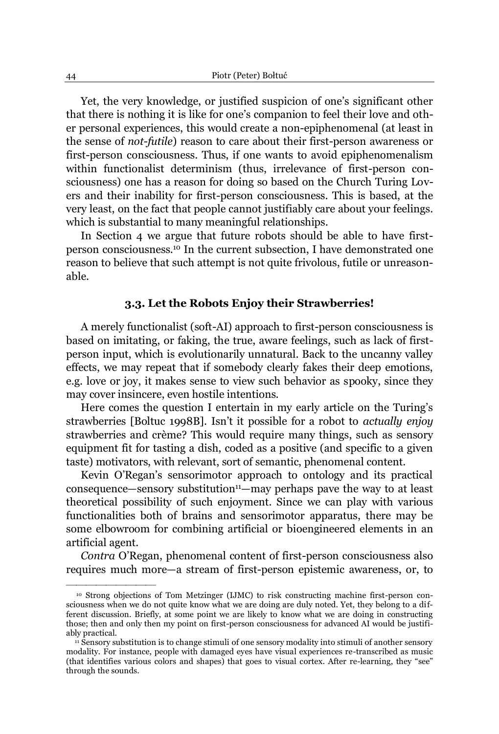Yet, the very knowledge, or justified suspicion of one's significant other that there is nothing it is like for one's companion to feel their love and other personal experiences, this would create a non-epiphenomenal (at least in the sense of *not-futile*) reason to care about their first-person awareness or first-person consciousness. Thus, if one wants to avoid epiphenomenalism within functionalist determinism (thus, irrelevance of first-person consciousness) one has a reason for doing so based on the Church Turing Lovers and their inability for first-person consciousness. This is based, at the very least, on the fact that people cannot justifiably care about your feelings. which is substantial to many meaningful relationships.

In Section 4 we argue that future robots should be able to have firstperson consciousness.10 In the current subsection, I have demonstrated one reason to believe that such attempt is not quite frivolous, futile or unreasonable.

### **3.3. Let the Robots Enjoy their Strawberries!**

A merely functionalist (soft-AI) approach to first-person consciousness is based on imitating, or faking, the true, aware feelings, such as lack of firstperson input, which is evolutionarily unnatural. Back to the uncanny valley effects, we may repeat that if somebody clearly fakes their deep emotions, e.g. love or joy, it makes sense to view such behavior as spooky, since they may cover insincere, even hostile intentions.

Here comes the question I entertain in my early article on the Turing's strawberries [Boltuc 1998B]. Isn't it possible for a robot to *actually enjoy* strawberries and crème? This would require many things, such as sensory equipment fit for tasting a dish, coded as a positive (and specific to a given taste) motivators, with relevant, sort of semantic, phenomenal content.

Kevin O'Regan's sensorimotor approach to ontology and its practical consequence-sensory substitution<sup>11</sup>-may perhaps pave the way to at least theoretical possibility of such enjoyment. Since we can play with various functionalities both of brains and sensorimotor apparatus, there may be some elbowroom for combining artificial or bioengineered elements in an artificial agent.

*Contra* O'Regan, phenomenal content of first-person consciousness also requires much more-a stream of first-person epistemic awareness, or, to

<sup>10</sup> Strong objections of Tom Metzinger (IJMC) to risk constructing machine first-person consciousness when we do not quite know what we are doing are duly noted. Yet, they belong to a different discussion. Briefly, at some point we are likely to know what we are doing in constructing those; then and only then my point on first-person consciousness for advanced AI would be justifiably practical.

<sup>&</sup>lt;sup>11</sup> Sensory substitution is to change stimuli of one sensory modality into stimuli of another sensory modality. For instance, people with damaged eyes have visual experiences re-transcribed as music (that identifies various colors and shapes) that goes to visual cortex. After re-learning, they "see" through the sounds.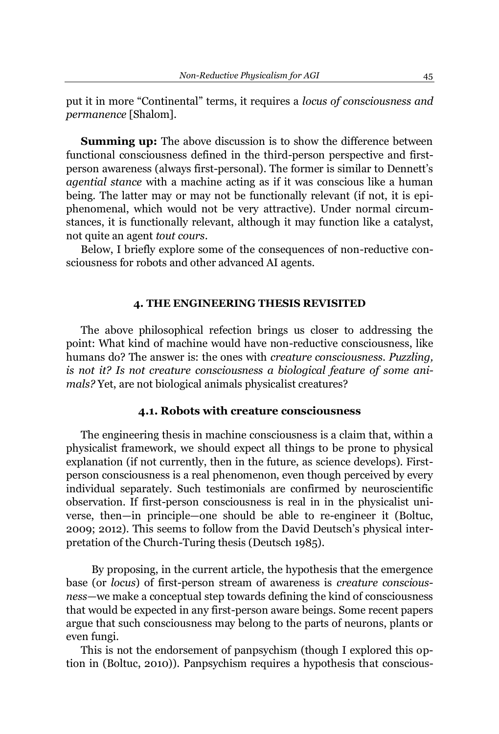put it in more "Continental" terms, it requires a *locus of consciousness and permanence* [Shalom].

**Summing up:** The above discussion is to show the difference between functional consciousness defined in the third-person perspective and firstperson awareness (always first-personal). The former is similar to Dennett's *agential stance* with a machine acting as if it was conscious like a human being. The latter may or may not be functionally relevant (if not, it is epiphenomenal, which would not be very attractive). Under normal circumstances, it is functionally relevant, although it may function like a catalyst, not quite an agent *tout cours*.

Below, I briefly explore some of the consequences of non-reductive consciousness for robots and other advanced AI agents.

### **4. THE ENGINEERING THESIS REVISITED**

The above philosophical refection brings us closer to addressing the point: What kind of machine would have non-reductive consciousness, like humans do? The answer is: the ones with *creature consciousness*. *Puzzling, is not it? Is not creature consciousness a biological feature of some animals?* Yet, are not biological animals physicalist creatures?

### **4.1. Robots with creature consciousness**

The engineering thesis in machine consciousness is a claim that, within a physicalist framework, we should expect all things to be prone to physical explanation (if not currently, then in the future, as science develops). Firstperson consciousness is a real phenomenon, even though perceived by every individual separately. Such testimonials are confirmed by neuroscientific observation. If first-person consciousness is real in in the physicalist universe, then—in principle—one should be able to re-engineer it (Boltuc, 2009; 2012). This seems to follow from the David Deutsch's physical interpretation of the Church-Turing thesis (Deutsch 1985).

 By proposing, in the current article, the hypothesis that the emergence base (or *locus*) of first-person stream of awareness is *creature consciousness²*we make a conceptual step towards defining the kind of consciousness that would be expected in any first-person aware beings. Some recent papers argue that such consciousness may belong to the parts of neurons, plants or even fungi.

This is not the endorsement of panpsychism (though I explored this option in (Boltuc, 2010)). Panpsychism requires a hypothesis that conscious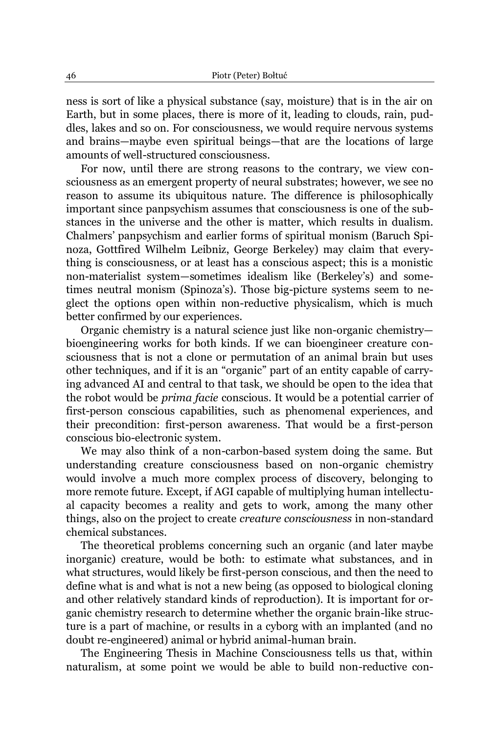ness is sort of like a physical substance (say, moisture) that is in the air on Earth, but in some places, there is more of it, leading to clouds, rain, puddles, lakes and so on. For consciousness, we would require nervous systems and brains—maybe even spiritual beings—that are the locations of large amounts of well-structured consciousness.

For now, until there are strong reasons to the contrary, we view consciousness as an emergent property of neural substrates; however, we see no reason to assume its ubiquitous nature. The difference is philosophically important since panpsychism assumes that consciousness is one of the substances in the universe and the other is matter, which results in dualism. Chalmers' panpsychism and earlier forms of spiritual monism (Baruch Spinoza, Gottfired Wilhelm Leibniz, George Berkeley) may claim that everything is consciousness, or at least has a conscious aspect; this is a monistic non-materialist system-sometimes idealism like (Berkeley's) and sometimes neutral monism (Spinoza's). Those big-picture systems seem to neglect the options open within non-reductive physicalism, which is much better confirmed by our experiences.

Organic chemistry is a natural science just like non-organic chemistrybioengineering works for both kinds. If we can bioengineer creature consciousness that is not a clone or permutation of an animal brain but uses other techniques, and if it is an "organic" part of an entity capable of carrying advanced AI and central to that task, we should be open to the idea that the robot would be *prima facie* conscious. It would be a potential carrier of first-person conscious capabilities, such as phenomenal experiences, and their precondition: first-person awareness. That would be a first-person conscious bio-electronic system.

We may also think of a non-carbon-based system doing the same. But understanding creature consciousness based on non-organic chemistry would involve a much more complex process of discovery, belonging to more remote future. Except, if AGI capable of multiplying human intellectual capacity becomes a reality and gets to work, among the many other things, also on the project to create *creature consciousness* in non-standard chemical substances.

The theoretical problems concerning such an organic (and later maybe inorganic) creature, would be both: to estimate what substances, and in what structures, would likely be first-person conscious, and then the need to define what is and what is not a new being (as opposed to biological cloning and other relatively standard kinds of reproduction). It is important for organic chemistry research to determine whether the organic brain-like structure is a part of machine, or results in a cyborg with an implanted (and no doubt re-engineered) animal or hybrid animal-human brain.

The Engineering Thesis in Machine Consciousness tells us that, within naturalism, at some point we would be able to build non-reductive con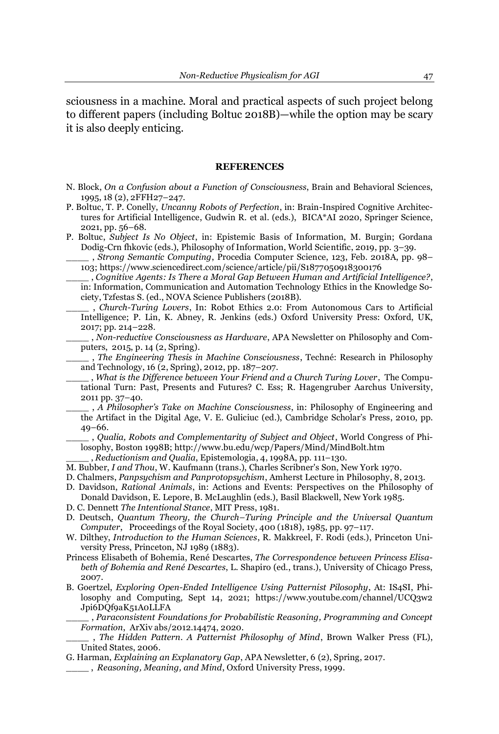sciousness in a machine. Moral and practical aspects of such project belong to different papers (including Boltuc 2018B)—while the option may be scary it is also deeply enticing.

#### **REFERENCES**

- N. Block, *On a Confusion about a Function of Consciousness*, Brain and Behavioral Sciences, 1995, 18 (2), 2FFH27±247.
- P. Boltuc, T. P. Conelly, *Uncanny Robots of Perfection*, in: Brain-Inspired Cognitive Architectures for Artificial Intelligence, Gudwin R. et al. (eds.), BICA\*AI 2020, Springer Science,  $2021$ , pp.  $56-68$ .
- P. Boltuc, *Subject Is No Object*, in: Epistemic Basis of Information, M. Burgin; Gordana Dodig-Crn final philosophy of Information, World Scientific, 2019, pp. 3–39.
	- \_\_\_\_ , *Strong Semantic Computing*, Procedia Computer Science, 123, Feb. 2018A, pp. 98± 103; https://www.sciencedirect.com/science/article/pii/S1877050918300176
	- \_\_\_\_ , *Cognitive Agents: Is There a Moral Gap Between Human and Artificial Intelligence?*, in: Information, Communication and Automation Technology Ethics in the Knowledge Society, Tzfestas S. (ed., NOVA Science Publishers (2018B).
	- \_\_\_\_ , *Church-Turing Lovers*, In: Robot Ethics 2.0: From Autonomous Cars to Artificial Intelligence; P. Lin, K. Abney, R. Jenkins (eds.) Oxford University Press: Oxford, UK, 2017; pp. 214-228.
	- \_\_\_\_ , *Non-reductive Consciousness as Hardware*, APA Newsletter on Philosophy and Computers, 2015, p. 14 (2, Spring).
	- $\_$ , *The Engineering Thesis in Machine Consciousness*, Techné: Research in Philosophy and Technology, 16 (2, Spring), 2012, pp. 187-207.
	- \_\_\_\_ , *What is the Difference between Your Friend and a Church Turing Lover*, The Computational Turn: Past, Presents and Futures? C. Ess; R. Hagengruber Aarchus University, 2011 pp. 37-40.
	- \_\_\_\_ , *\$ 3KLORVRSKHU¶V 7DNH RQ0DFKLQH &RQVFLRXVQHVV*, in: Philosophy of Engineering and the Artifact in the Digital Age, V. E. Guliciuc (ed.), Cambridge Scholar's Press, 2010, pp.  $49 - 66.$
	- \_\_\_\_ , *Qualia, Robots and Complementarity of Subject and Object*, World Congress of Philosophy, Boston 1998B[; http://www.bu.edu/wcp/Papers/Mind/MindBolt.htm](http://www.bu.edu/wcp/Papers/Mind/MindBolt.htm)
	- \_\_\_\_ , *Reductionism and Qualia*, Epistemologia, 4, 1998A, pp. 111±130.
- M. Bubber, *I and Thou*, W. Kaufmann (trans.), Charles Scribner's Son, New York 1970.
- D. Chalmers, *Panpsychism and Panprotopsychism*, Amherst Lecture in Philosophy, 8, 2013.
- D. Davidson, *Rational Animals*, in: Actions and Events: Perspectives on the Philosophy of Donald Davidson, E. Lepore, B. McLaughlin (eds.), Basil Blackwell, New York 1985.
- D. C. Dennett *The Intentional Stance*, MIT Press, 1981.
- D. Deutsch, *Quantum Theory, the Church±Turing Principle and the Universal Quantum Computer*, Proceedings of the Royal Society, 400 (1818), 1985, pp. 97–117.
- W. Dilthey, *Introduction to the Human Sciences*, R. Makkreel, F. Rodi (eds.), Princeton University Press, Princeton, NJ 1989 (1883).
- Princess Elisabeth of Bohemia, René Descartes, *The Correspondence between Princess Elisabeth of Bohemia and René Descartes, L. Shapiro (ed., trans.), University of Chicago Press,* 2007.
- B. Goertzel, *Exploring Open-Ended Intelligence Using Patternist Pilosophy*, At: IS4SI, Philosophy and Computing, Sept 14, 2021; [https://www.youtube.com/channel/UCQ3w2](https://www.youtube.com/channel/UCQ3w2Jpi6DQf9aK51A0LLFA) [Jpi6DQf9aK51A0LLFA](https://www.youtube.com/channel/UCQ3w2Jpi6DQf9aK51A0LLFA)
	- \_\_\_\_ , *Paraconsistent Foundations for Probabilistic Reasoning, Programming and Concept Formation*, ArXiv abs/2012.14474, 2020.
	- \_\_\_\_ , *The Hidden Pattern. A Patternist Philosophy of Mind*, Brown Walker Press (FL), United States, 2006.
- G. Harman, *Explaining an Explanatory Gap*, APA Newsletter, 6 (2), Spring, 2017.
- \_\_\_\_ , *Reasoning, Meaning, and Mind*, Oxford University Press, 1999.